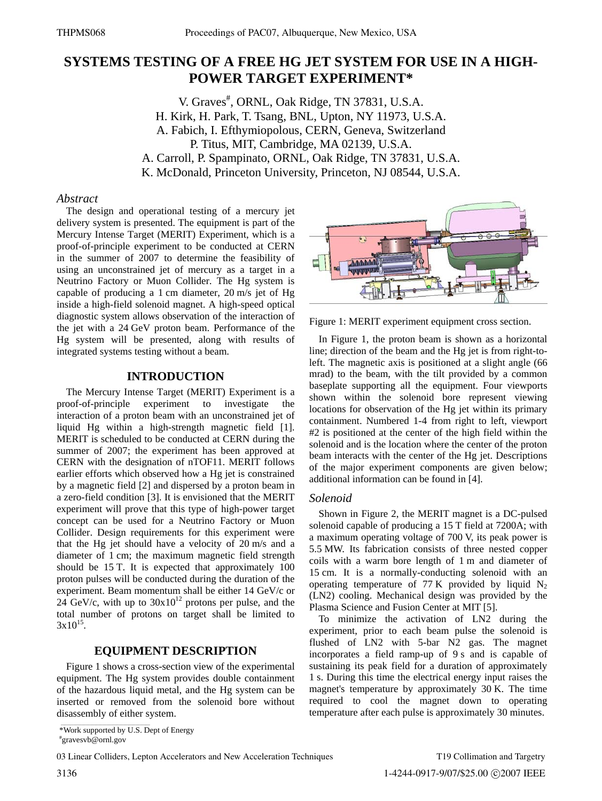# **SYSTEMS TESTING OF A FREE HG JET SYSTEM FOR USE IN A HIGH-POWER TARGET EXPERIMENT\***

V. Graves<sup>#</sup>, ORNL, Oak Ridge, TN 37831, U.S.A. H. Kirk, H. Park, T. Tsang, BNL, Upton, NY 11973, U.S.A. A. Fabich, I. Efthymiopolous, CERN, Geneva, Switzerland P. Titus, MIT, Cambridge, MA 02139, U.S.A. A. Carroll, P. Spampinato, ORNL, Oak Ridge, TN 37831, U.S.A. K. McDonald, Princeton University, Princeton, NJ 08544, U.S.A.

#### *Abstract*

The design and operational testing of a mercury jet delivery system is presented. The equipment is part of the Mercury Intense Target (MERIT) Experiment, which is a proof-of-principle experiment to be conducted at CERN in the summer of 2007 to determine the feasibility of using an unconstrained jet of mercury as a target in a Neutrino Factory or Muon Collider. The Hg system is capable of producing a 1 cm diameter, 20 m/s jet of Hg inside a high-field solenoid magnet. A high-speed optical diagnostic system allows observation of the interaction of the jet with a 24 GeV proton beam. Performance of the Hg system will be presented, along with results of integrated systems testing without a beam.

## **INTRODUCTION**

The Mercury Intense Target (MERIT) Experiment is a proof-of-principle experiment to investigate the interaction of a proton beam with an unconstrained jet of liquid Hg within a high-strength magnetic field [1]. MERIT is scheduled to be conducted at CERN during the summer of 2007; the experiment has been approved at CERN with the designation of nTOF11. MERIT follows earlier efforts which observed how a Hg jet is constrained by a magnetic field [2] and dispersed by a proton beam in a zero-field condition [3]. It is envisioned that the MERIT experiment will prove that this type of high-power target concept can be used for a Neutrino Factory or Muon Collider. Design requirements for this experiment were that the Hg jet should have a velocity of 20 m/s and a diameter of 1 cm; the maximum magnetic field strength should be 15 T. It is expected that approximately 100 proton pulses will be conducted during the duration of the experiment. Beam momentum shall be either 14 GeV/c or  $24$  GeV/c, with up to  $30x10^{12}$  protons per pulse, and the total number of protons on target shall be limited to  $3x10^{15}$ .

# **EQUIPMENT DESCRIPTION**

Figure 1 shows a cross-section view of the experimental equipment. The Hg system provides double containment of the hazardous liquid metal, and the Hg system can be inserted or removed from the solenoid bore without disassembly of either system.



Figure 1: MERIT experiment equipment cross section.

In Figure 1, the proton beam is shown as a horizontal line; direction of the beam and the Hg jet is from right-toleft. The magnetic axis is positioned at a slight angle (66 mrad) to the beam, with the tilt provided by a common baseplate supporting all the equipment. Four viewports shown within the solenoid bore represent viewing locations for observation of the Hg jet within its primary containment. Numbered 1-4 from right to left, viewport #2 is positioned at the center of the high field within the solenoid and is the location where the center of the proton beam interacts with the center of the Hg jet. Descriptions of the major experiment components are given below; additional information can be found in [4].

#### *Solenoid*

Shown in Figure 2, the MERIT magnet is a DC-pulsed solenoid capable of producing a 15 T field at 7200A; with a maximum operating voltage of 700 V, its peak power is 5.5 MW. Its fabrication consists of three nested copper coils with a warm bore length of 1 m and diameter of 15 cm. It is a normally-conducting solenoid with an operating temperature of 77 K provided by liquid  $N_2$ (LN2) cooling. Mechanical design was provided by the Plasma Science and Fusion Center at MIT [5].

To minimize the activation of LN2 during the experiment, prior to each beam pulse the solenoid is flushed of LN2 with 5-bar N2 gas. The magnet incorporates a field ramp-up of 9 s and is capable of sustaining its peak field for a duration of approximately 1 s. During this time the electrical energy input raises the magnet's temperature by approximately 30 K. The time required to cool the magnet down to operating temperature after each pulse is approximately 30 minutes.

<sup>\*</sup>Work supported by U.S. Dept of Energy

<sup>#</sup> gravesvb@ornl.gov

<sup>03</sup> Linear Colliders, Lepton Accelerators and New Acceleration Techniques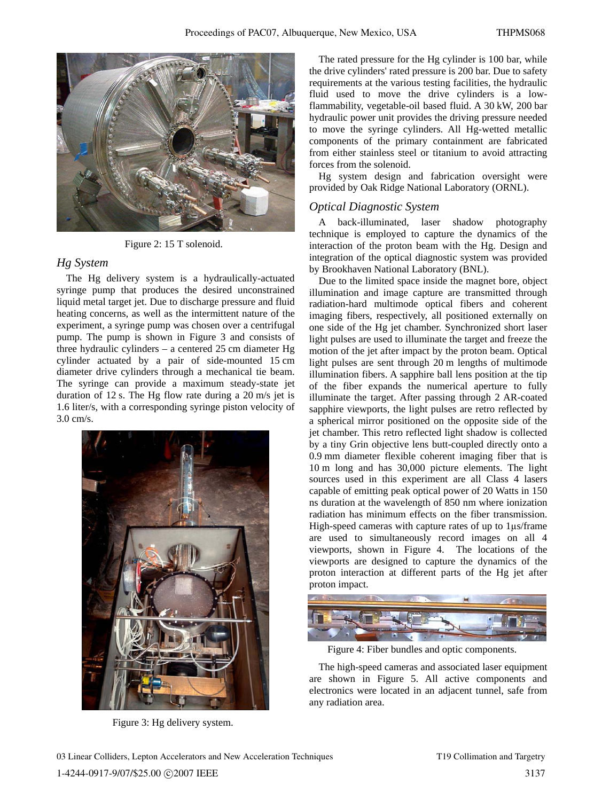

Figure 2: 15 T solenoid.

#### *Hg System*

The Hg delivery system is a hydraulically-actuated syringe pump that produces the desired unconstrained liquid metal target jet. Due to discharge pressure and fluid heating concerns, as well as the intermittent nature of the experiment, a syringe pump was chosen over a centrifugal pump. The pump is shown in Figure 3 and consists of three hydraulic cylinders – a centered 25 cm diameter Hg cylinder actuated by a pair of side-mounted 15 cm diameter drive cylinders through a mechanical tie beam. The syringe can provide a maximum steady-state jet duration of 12 s. The Hg flow rate during a 20 m/s jet is 1.6 liter/s, with a corresponding syringe piston velocity of 3.0 cm/s.



Figure 3: Hg delivery system.

The rated pressure for the Hg cylinder is 100 bar, while the drive cylinders' rated pressure is 200 bar. Due to safety requirements at the various testing facilities, the hydraulic fluid used to move the drive cylinders is a lowflammability, vegetable-oil based fluid. A 30 kW, 200 bar hydraulic power unit provides the driving pressure needed to move the syringe cylinders. All Hg-wetted metallic components of the primary containment are fabricated from either stainless steel or titanium to avoid attracting forces from the solenoid.

Hg system design and fabrication oversight were provided by Oak Ridge National Laboratory (ORNL).

#### *Optical Diagnostic System*

A back-illuminated, laser shadow photography technique is employed to capture the dynamics of the interaction of the proton beam with the Hg. Design and integration of the optical diagnostic system was provided by Brookhaven National Laboratory (BNL).

Due to the limited space inside the magnet bore, object illumination and image capture are transmitted through radiation-hard multimode optical fibers and coherent imaging fibers, respectively, all positioned externally on one side of the Hg jet chamber. Synchronized short laser light pulses are used to illuminate the target and freeze the motion of the jet after impact by the proton beam. Optical light pulses are sent through 20 m lengths of multimode illumination fibers. A sapphire ball lens position at the tip of the fiber expands the numerical aperture to fully illuminate the target. After passing through 2 AR-coated sapphire viewports, the light pulses are retro reflected by a spherical mirror positioned on the opposite side of the jet chamber. This retro reflected light shadow is collected by a tiny Grin objective lens butt-coupled directly onto a 0.9 mm diameter flexible coherent imaging fiber that is 10 m long and has 30,000 picture elements. The light sources used in this experiment are all Class 4 lasers capable of emitting peak optical power of 20 Watts in 150 ns duration at the wavelength of 850 nm where ionization radiation has minimum effects on the fiber transmission. High-speed cameras with capture rates of up to 1μs/frame are used to simultaneously record images on all 4 viewports, shown in Figure 4. The locations of the viewports are designed to capture the dynamics of the proton interaction at different parts of the Hg jet after proton impact.



Figure 4: Fiber bundles and optic components.

The high-speed cameras and associated laser equipment are shown in Figure 5. All active components and electronics were located in an adjacent tunnel, safe from any radiation area.